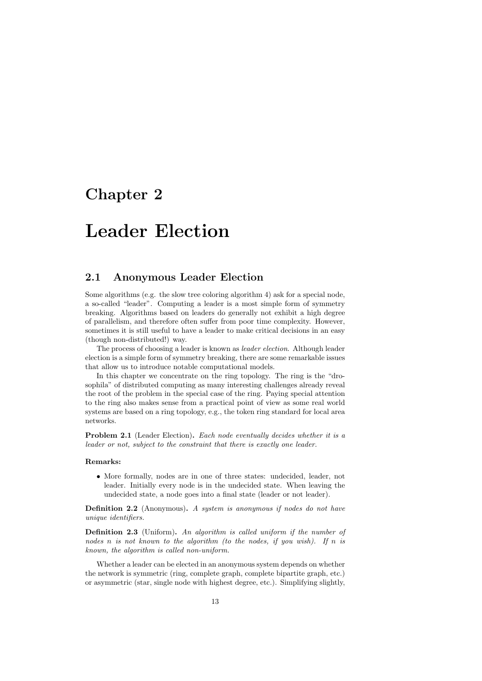## Chapter 2

# Leader Election

## 2.1 Anonymous Leader Election

Some algorithms (e.g. the slow tree coloring algorithm 4) ask for a special node, a so-called "leader". Computing a leader is a most simple form of symmetry breaking. Algorithms based on leaders do generally not exhibit a high degree of parallelism, and therefore often suffer from poor time complexity. However, sometimes it is still useful to have a leader to make critical decisions in an easy (though non-distributed!) way.

The process of choosing a leader is known as leader election. Although leader election is a simple form of symmetry breaking, there are some remarkable issues that allow us to introduce notable computational models.

In this chapter we concentrate on the ring topology. The ring is the "drosophila" of distributed computing as many interesting challenges already reveal the root of the problem in the special case of the ring. Paying special attention to the ring also makes sense from a practical point of view as some real world systems are based on a ring topology, e.g., the token ring standard for local area networks.

Problem 2.1 (Leader Election). Each node eventually decides whether it is a leader or not, subject to the constraint that there is exactly one leader.

#### Remarks:

• More formally, nodes are in one of three states: undecided, leader, not leader. Initially every node is in the undecided state. When leaving the undecided state, a node goes into a final state (leader or not leader).

Definition 2.2 (Anonymous). A system is anonymous if nodes do not have unique identifiers.

Definition 2.3 (Uniform). An algorithm is called uniform if the number of nodes n is not known to the algorithm (to the nodes, if you wish). If n is known, the algorithm is called non-uniform.

Whether a leader can be elected in an anonymous system depends on whether the network is symmetric (ring, complete graph, complete bipartite graph, etc.) or asymmetric (star, single node with highest degree, etc.). Simplifying slightly,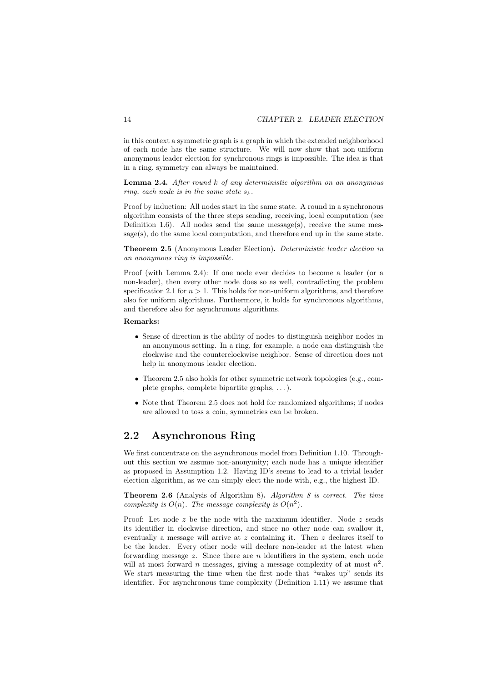in this context a symmetric graph is a graph in which the extended neighborhood of each node has the same structure. We will now show that non-uniform anonymous leader election for synchronous rings is impossible. The idea is that in a ring, symmetry can always be maintained.

**Lemma 2.4.** After round  $k$  of any deterministic algorithm on an anonymous ring, each node is in the same state  $s_k$ .

Proof by induction: All nodes start in the same state. A round in a synchronous algorithm consists of the three steps sending, receiving, local computation (see Definition 1.6). All nodes send the same message(s), receive the same message(s), do the same local computation, and therefore end up in the same state.

Theorem 2.5 (Anonymous Leader Election). Deterministic leader election in an anonymous ring is impossible.

Proof (with Lemma 2.4): If one node ever decides to become a leader (or a non-leader), then every other node does so as well, contradicting the problem specification 2.1 for  $n > 1$ . This holds for non-uniform algorithms, and therefore also for uniform algorithms. Furthermore, it holds for synchronous algorithms, and therefore also for asynchronous algorithms.

#### Remarks:

- Sense of direction is the ability of nodes to distinguish neighbor nodes in an anonymous setting. In a ring, for example, a node can distinguish the clockwise and the counterclockwise neighbor. Sense of direction does not help in anonymous leader election.
- Theorem 2.5 also holds for other symmetric network topologies (e.g., complete graphs, complete bipartite graphs, . . . ).
- Note that Theorem 2.5 does not hold for randomized algorithms; if nodes are allowed to toss a coin, symmetries can be broken.

## 2.2 Asynchronous Ring

We first concentrate on the asynchronous model from Definition 1.10. Throughout this section we assume non-anonymity; each node has a unique identifier as proposed in Assumption 1.2. Having ID's seems to lead to a trivial leader election algorithm, as we can simply elect the node with, e.g., the highest ID.

**Theorem 2.6** (Analysis of Algorithm 8). Algorithm 8 is correct. The time complexity is  $O(n)$ . The message complexity is  $O(n^2)$ .

Proof: Let node  $z$  be the node with the maximum identifier. Node  $z$  sends its identifier in clockwise direction, and since no other node can swallow it, eventually a message will arrive at z containing it. Then z declares itself to be the leader. Every other node will declare non-leader at the latest when forwarding message  $z$ . Since there are  $n$  identifiers in the system, each node will at most forward n messages, giving a message complexity of at most  $n^2$ . We start measuring the time when the first node that "wakes up" sends its identifier. For asynchronous time complexity (Definition 1.11) we assume that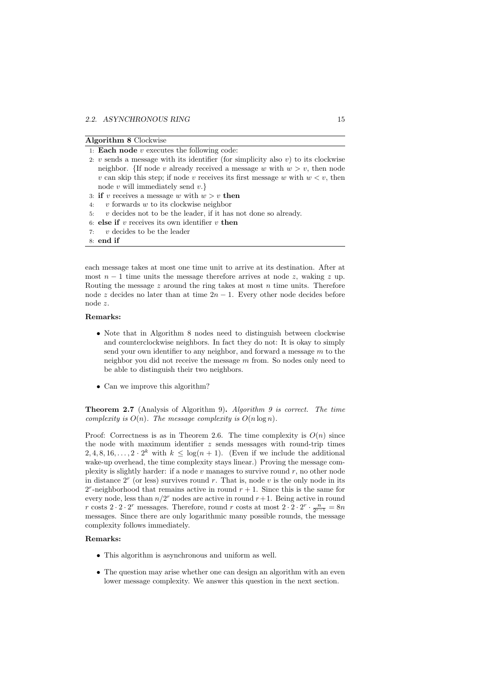| <b>Algorithm 8</b> Clockwise |  |  |
|------------------------------|--|--|
|                              |  |  |

| 1: <b>Each node</b> $v$ executes the following code:                              |
|-----------------------------------------------------------------------------------|
| 2: v sends a message with its identifier (for simplicity also v) to its clockwise |
| neighbor. {If node v already received a message w with $w > v$ , then node        |
| v can skip this step; if node v receives its first message w with $w < v$ , then  |
| node $v$ will immediately send $v.\}$                                             |
| 3: if v receives a message w with $w > v$ then                                    |
| 4: v forwards w to its clockwise neighbor                                         |
| 5: $v$ decides not to be the leader, if it has not done so already.               |
| 6: else if $v$ receives its own identifier $v$ then                               |
| 7: $v$ decides to be the leader                                                   |

8: end if

each message takes at most one time unit to arrive at its destination. After at most  $n-1$  time units the message therefore arrives at node z, waking z up. Routing the message  $z$  around the ring takes at most  $n$  time units. Therefore node z decides no later than at time  $2n - 1$ . Every other node decides before node z.

#### Remarks:

- Note that in Algorithm 8 nodes need to distinguish between clockwise and counterclockwise neighbors. In fact they do not: It is okay to simply send your own identifier to any neighbor, and forward a message  $m$  to the neighbor you did not receive the message  $m$  from. So nodes only need to be able to distinguish their two neighbors.
- Can we improve this algorithm?

Theorem 2.7 (Analysis of Algorithm 9). Algorithm 9 is correct. The time complexity is  $O(n)$ . The message complexity is  $O(n \log n)$ .

Proof: Correctness is as in Theorem 2.6. The time complexity is  $O(n)$  since the node with maximum identifier  $z$  sends messages with round-trip times 2, 4, 8, 16,...,  $2 \cdot 2^k$  with  $k \leq \log(n+1)$ . (Even if we include the additional wake-up overhead, the time complexity stays linear.) Proving the message complexity is slightly harder: if a node  $v$  manages to survive round  $r$ , no other node in distance  $2<sup>r</sup>$  (or less) survives round r. That is, node v is the only node in its  $2^r$ -neighborhood that remains active in round  $r + 1$ . Since this is the same for every node, less than  $n/2^r$  nodes are active in round  $r+1$ . Being active in round r costs  $2 \cdot 2 \cdot 2^r$  messages. Therefore, round r costs at most  $2 \cdot 2 \cdot 2^r \cdot \frac{n}{2^{r-1}} = 8n$ messages. Since there are only logarithmic many possible rounds, the message complexity follows immediately.

#### Remarks:

- This algorithm is asynchronous and uniform as well.
- The question may arise whether one can design an algorithm with an even lower message complexity. We answer this question in the next section.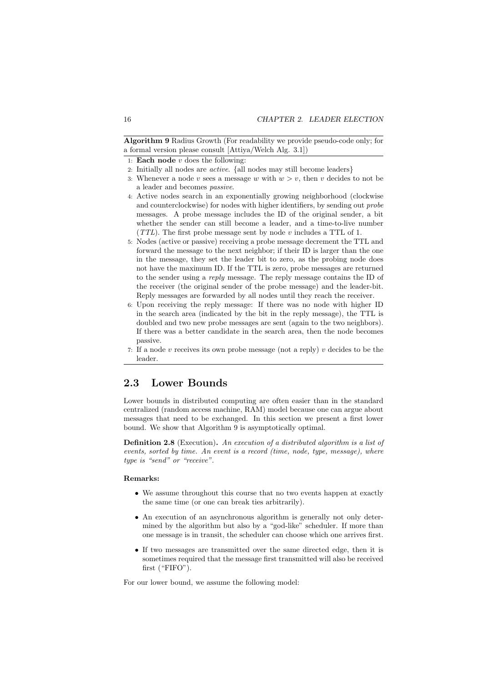Algorithm 9 Radius Growth (For readability we provide pseudo-code only; for a formal version please consult [Attiya/Welch Alg. 3.1])

1: Each node  $v$  does the following:

- 2: Initially all nodes are active. {all nodes may still become leaders}
- 3: Whenever a node v sees a message w with  $w > v$ , then v decides to not be a leader and becomes passive.
- 4: Active nodes search in an exponentially growing neighborhood (clockwise and counterclockwise) for nodes with higher identifiers, by sending out probe messages. A probe message includes the ID of the original sender, a bit whether the sender can still become a leader, and a time-to-live number  $(TTL)$ . The first probe message sent by node v includes a TTL of 1.
- 5: Nodes (active or passive) receiving a probe message decrement the TTL and forward the message to the next neighbor; if their ID is larger than the one in the message, they set the leader bit to zero, as the probing node does not have the maximum ID. If the TTL is zero, probe messages are returned to the sender using a reply message. The reply message contains the ID of the receiver (the original sender of the probe message) and the leader-bit. Reply messages are forwarded by all nodes until they reach the receiver.
- 6: Upon receiving the reply message: If there was no node with higher ID in the search area (indicated by the bit in the reply message), the TTL is doubled and two new probe messages are sent (again to the two neighbors). If there was a better candidate in the search area, then the node becomes passive.
- 7: If a node  $v$  receives its own probe message (not a reply)  $v$  decides to be the leader.

## 2.3 Lower Bounds

Lower bounds in distributed computing are often easier than in the standard centralized (random access machine, RAM) model because one can argue about messages that need to be exchanged. In this section we present a first lower bound. We show that Algorithm 9 is asymptotically optimal.

**Definition 2.8** (Execution). An execution of a distributed algorithm is a list of events, sorted by time. An event is a record (time, node, type, message), where type is "send" or "receive".

#### Remarks:

- We assume throughout this course that no two events happen at exactly the same time (or one can break ties arbitrarily).
- An execution of an asynchronous algorithm is generally not only determined by the algorithm but also by a "god-like" scheduler. If more than one message is in transit, the scheduler can choose which one arrives first.
- If two messages are transmitted over the same directed edge, then it is sometimes required that the message first transmitted will also be received first ("FIFO").

For our lower bound, we assume the following model: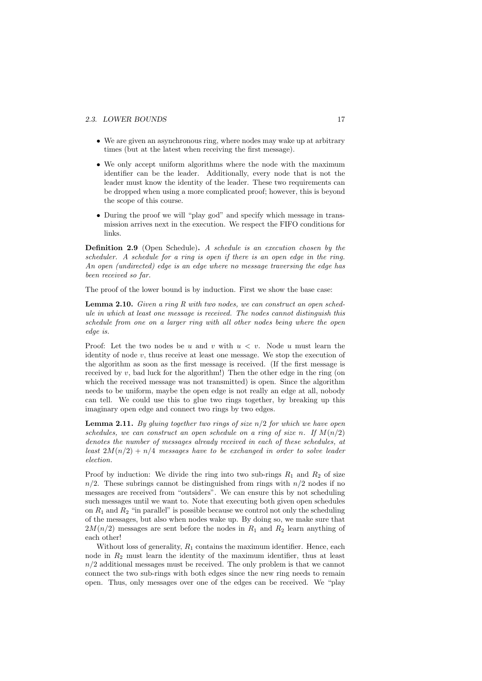#### 2.3. LOWER BOUNDS 17

- We are given an asynchronous ring, where nodes may wake up at arbitrary times (but at the latest when receiving the first message).
- We only accept uniform algorithms where the node with the maximum identifier can be the leader. Additionally, every node that is not the leader must know the identity of the leader. These two requirements can be dropped when using a more complicated proof; however, this is beyond the scope of this course.
- During the proof we will "play god" and specify which message in transmission arrives next in the execution. We respect the FIFO conditions for links.

Definition 2.9 (Open Schedule). A schedule is an execution chosen by the scheduler. A schedule for a ring is open if there is an open edge in the ring. An open (undirected) edge is an edge where no message traversing the edge has been received so far.

The proof of the lower bound is by induction. First we show the base case:

Lemma 2.10. Given a ring R with two nodes, we can construct an open schedule in which at least one message is received. The nodes cannot distinguish this schedule from one on a larger ring with all other nodes being where the open edge is.

Proof: Let the two nodes be u and v with  $u < v$ . Node u must learn the identity of node  $v$ , thus receive at least one message. We stop the execution of the algorithm as soon as the first message is received. (If the first message is received by  $v$ , bad luck for the algorithm!) Then the other edge in the ring (on which the received message was not transmitted) is open. Since the algorithm needs to be uniform, maybe the open edge is not really an edge at all, nobody can tell. We could use this to glue two rings together, by breaking up this imaginary open edge and connect two rings by two edges.

**Lemma 2.11.** By gluing together two rings of size  $n/2$  for which we have open schedules, we can construct an open schedule on a ring of size n. If  $M(n/2)$ denotes the number of messages already received in each of these schedules, at least  $2M(n/2) + n/4$  messages have to be exchanged in order to solve leader election.

Proof by induction: We divide the ring into two sub-rings  $R_1$  and  $R_2$  of size  $n/2$ . These subrings cannot be distinguished from rings with  $n/2$  nodes if no messages are received from "outsiders". We can ensure this by not scheduling such messages until we want to. Note that executing both given open schedules on  $R_1$  and  $R_2$  "in parallel" is possible because we control not only the scheduling of the messages, but also when nodes wake up. By doing so, we make sure that  $2M(n/2)$  messages are sent before the nodes in  $R_1$  and  $R_2$  learn anything of each other!

Without loss of generality,  $R_1$  contains the maximum identifier. Hence, each node in  $R_2$  must learn the identity of the maximum identifier, thus at least  $n/2$  additional messages must be received. The only problem is that we cannot connect the two sub-rings with both edges since the new ring needs to remain open. Thus, only messages over one of the edges can be received. We "play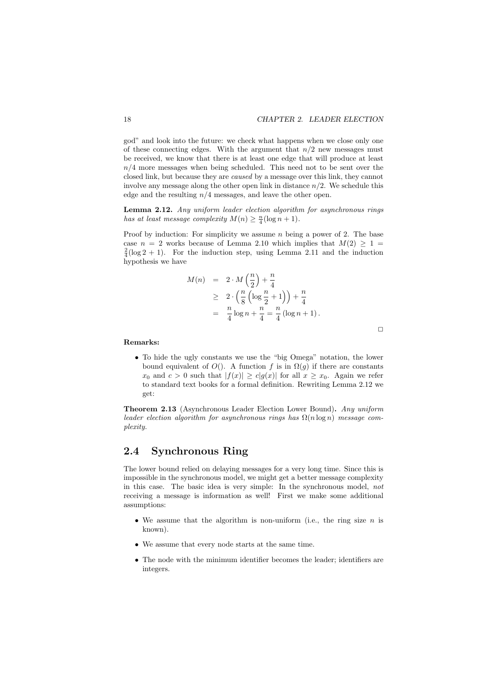$\Box$ 

god" and look into the future: we check what happens when we close only one of these connecting edges. With the argument that  $n/2$  new messages must be received, we know that there is at least one edge that will produce at least  $n/4$  more messages when being scheduled. This need not to be sent over the closed link, but because they are caused by a message over this link, they cannot involve any message along the other open link in distance  $n/2$ . We schedule this edge and the resulting  $n/4$  messages, and leave the other open.

Lemma 2.12. Any uniform leader election algorithm for asynchronous rings has at least message complexity  $M(n) \geq \frac{n}{4}(\log n + 1)$ .

Proof by induction: For simplicity we assume  $n$  being a power of 2. The base case  $n = 2$  works because of Lemma 2.10 which implies that  $M(2) > 1$  $\frac{2}{4}$ (log 2 + 1). For the induction step, using Lemma 2.11 and the induction hypothesis we have

$$
M(n) = 2 \cdot M\left(\frac{n}{2}\right) + \frac{n}{4}
$$
  
\n
$$
\geq 2 \cdot \left(\frac{n}{8}\left(\log \frac{n}{2} + 1\right)\right) + \frac{n}{4}
$$
  
\n
$$
= \frac{n}{4}\log n + \frac{n}{4} = \frac{n}{4}\left(\log n + 1\right).
$$

Remarks:

• To hide the ugly constants we use the "big Omega" notation, the lower bound equivalent of  $O()$ . A function f is in  $\Omega(g)$  if there are constants  $x_0$  and  $c > 0$  such that  $|f(x)| \ge c|g(x)|$  for all  $x \ge x_0$ . Again we refer to standard text books for a formal definition. Rewriting Lemma 2.12 we get:

Theorem 2.13 (Asynchronous Leader Election Lower Bound). Any uniform leader election algorithm for asynchronous rings has  $\Omega(n \log n)$  message complexity.

## 2.4 Synchronous Ring

The lower bound relied on delaying messages for a very long time. Since this is impossible in the synchronous model, we might get a better message complexity in this case. The basic idea is very simple: In the synchronous model, not receiving a message is information as well! First we make some additional assumptions:

- We assume that the algorithm is non-uniform (i.e., the ring size  $n$  is known).
- We assume that every node starts at the same time.
- The node with the minimum identifier becomes the leader; identifiers are integers.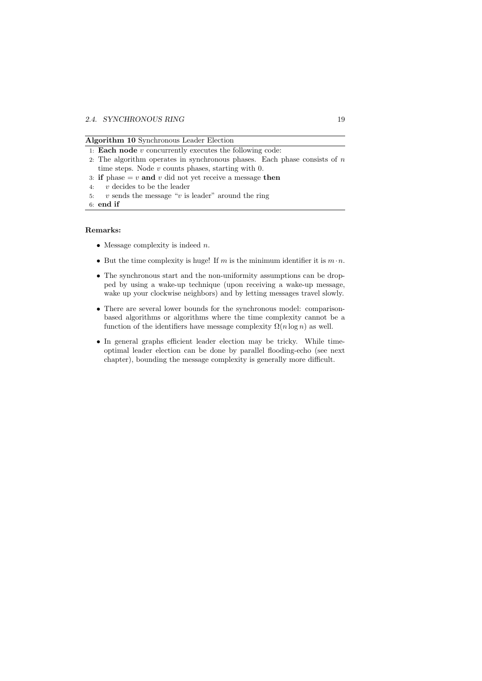#### Algorithm 10 Synchronous Leader Election

- 1: Each node  $v$  concurrently executes the following code:
- 2: The algorithm operates in synchronous phases. Each phase consists of  $n$ time steps. Node  $v$  counts phases, starting with  $0$ .
- 3: if phase  $v$  and v did not yet receive a message then
- 4: v decides to be the leader
- 5:  $v$  sends the message " $v$  is leader" around the ring

6: end if

#### Remarks:

- Message complexity is indeed  $n$ .
- But the time complexity is huge! If m is the minimum identifier it is  $m \cdot n$ .
- The synchronous start and the non-uniformity assumptions can be dropped by using a wake-up technique (upon receiving a wake-up message, wake up your clockwise neighbors) and by letting messages travel slowly.
- There are several lower bounds for the synchronous model: comparisonbased algorithms or algorithms where the time complexity cannot be a function of the identifiers have message complexity  $\Omega(n \log n)$  as well.
- In general graphs efficient leader election may be tricky. While timeoptimal leader election can be done by parallel flooding-echo (see next chapter), bounding the message complexity is generally more difficult.